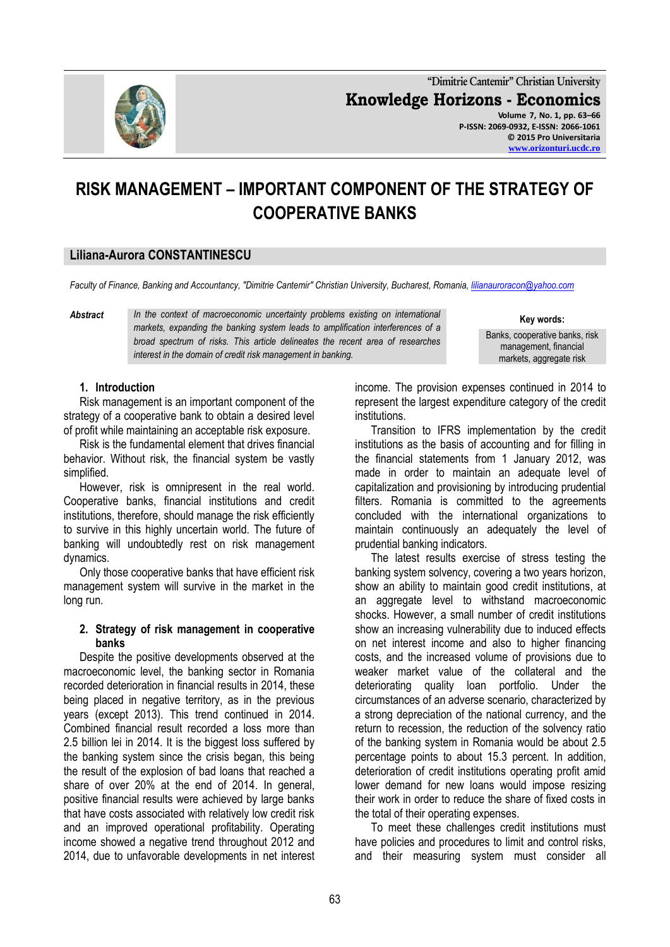

**"Dimitrie Cantemir" Christian University Knowledge Horizons - Economics Volume 7, No. 1, pp. 63–66 P-ISSN: 2069-0932, E-ISSN: 2066-1061 © 2015 Pro Universitaria [www.orizonturi.ucdc.ro](http://www.orizonturi.ucdc.ro/)**

# **RISK MANAGEMENT – IMPORTANT COMPONENT OF THE STRATEGY OF COOPERATIVE BANKS**

# **Liliana-Aurora CONSTANTINESCU**

*Faculty of Finance, Banking and Accountancy, "Dimitrie Cantemir" Christian University, Bucharest, Romania, [lilianauroracon@yahoo.com](mailto:lilianauroracon@yahoo.com)*

*Abstract In the context of macroeconomic uncertainty problems existing on international markets, expanding the banking system leads to amplification interferences of a broad spectrum of risks. This article delineates the recent area of researches interest in the domain of credit risk management in banking.*

#### **Key words:**

Banks, cooperative banks, risk management, financial markets, aggregate risk

### **1. Introduction**

Risk management is an important component of the strategy of a cooperative bank to obtain a desired level of profit while maintaining an acceptable risk exposure.

Risk is the fundamental element that drives financial behavior. Without risk, the financial system be vastly simplified.

However, risk is omnipresent in the real world. Cooperative banks, financial institutions and credit institutions, therefore, should manage the risk efficiently to survive in this highly uncertain world. The future of banking will undoubtedly rest on risk management dynamics.

Only those cooperative banks that have efficient risk management system will survive in the market in the long run.

#### **2. Strategy of risk management in cooperative banks**

Despite the positive developments observed at the macroeconomic level, the banking sector in Romania recorded deterioration in financial results in 2014, these being placed in negative territory, as in the previous years (except 2013). This trend continued in 2014. Combined financial result recorded a loss more than 2.5 billion lei in 2014. It is the biggest loss suffered by the banking system since the crisis began, this being the result of the explosion of bad loans that reached a share of over 20% at the end of 2014. In general, positive financial results were achieved by large banks that have costs associated with relatively low credit risk and an improved operational profitability. Operating income showed a negative trend throughout 2012 and 2014, due to unfavorable developments in net interest income. The provision expenses continued in 2014 to represent the largest expenditure category of the credit institutions.

Transition to IFRS implementation by the credit institutions as the basis of accounting and for filling in the financial statements from 1 January 2012, was made in order to maintain an adequate level of capitalization and provisioning by introducing prudential filters. Romania is committed to the agreements concluded with the international organizations to maintain continuously an adequately the level of prudential banking indicators.

The latest results exercise of stress testing the banking system solvency, covering a two years horizon, show an ability to maintain good credit institutions, at an aggregate level to withstand macroeconomic shocks. However, a small number of credit institutions show an increasing vulnerability due to induced effects on net interest income and also to higher financing costs, and the increased volume of provisions due to weaker market value of the collateral and the deteriorating quality loan portfolio. Under the circumstances of an adverse scenario, characterized by a strong depreciation of the national currency, and the return to recession, the reduction of the solvency ratio of the banking system in Romania would be about 2.5 percentage points to about 15.3 percent. In addition, deterioration of credit institutions operating profit amid lower demand for new loans would impose resizing their work in order to reduce the share of fixed costs in the total of their operating expenses.

To meet these challenges credit institutions must have policies and procedures to limit and control risks, and their measuring system must consider all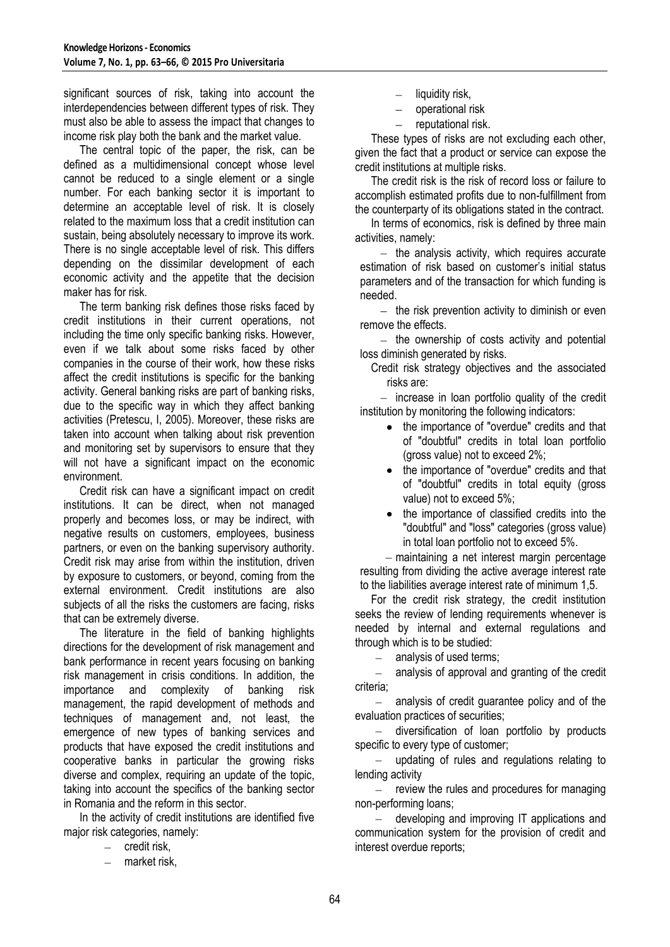significant sources of risk, taking into account the interdependencies between different types of risk. They must also be able to assess the impact that changes to income risk play both the bank and the market value.

The central topic of the paper, the risk, can be defined as a multidimensional concept whose level cannot be reduced to a single element or a single number. For each banking sector it is important to determine an acceptable level of risk. It is closely related to the maximum loss that a credit institution can sustain, being absolutely necessary to improve its work. There is no single acceptable level of risk. This differs depending on the dissimilar development of each economic activity and the appetite that the decision maker has for risk.

The term banking risk defines those risks faced by credit institutions in their current operations, not including the time only specific banking risks. However, even if we talk about some risks faced by other companies in the course of their work, how these risks affect the credit institutions is specific for the banking activity. General banking risks are part of banking risks, due to the specific way in which they affect banking activities (Pretescu, I, 2005). Moreover, these risks are taken into account when talking about risk prevention and monitoring set by supervisors to ensure that they will not have a significant impact on the economic environment.

Credit risk can have a significant impact on credit institutions. It can be direct, when not managed properly and becomes loss, or may be indirect, with negative results on customers, employees, business partners, or even on the banking supervisory authority. Credit risk may arise from within the institution, driven by exposure to customers, or beyond, coming from the external environment. Credit institutions are also subjects of all the risks the customers are facing, risks that can be extremely diverse.

The literature in the field of banking highlights directions for the development of risk management and bank performance in recent years focusing on banking risk management in crisis conditions. In addition, the importance and complexity of banking risk management, the rapid development of methods and techniques of management and, not least, the emergence of new types of banking services and products that have exposed the credit institutions and cooperative banks in particular the growing risks diverse and complex, requiring an update of the topic, taking into account the specifics of the banking sector in Romania and the reform in this sector.

In the activity of credit institutions are identified five major risk categories, namely:

- credit risk.
- $\equiv$  . market risk,
- liquidity risk.
- operational risk  $\equiv$
- reputational risk.

These types of risks are not excluding each other, given the fact that a product or service can expose the credit institutions at multiple risks.

The credit risk is the risk of record loss or failure to accomplish estimated profits due to non-fulfillment from the counterparty of its obligations stated in the contract.

In terms of economics, risk is defined by three main activities, namely:

 $-$  the analysis activity, which requires accurate estimation of risk based on customer's initial status parameters and of the transaction for which funding is needed.

 $-$  the risk prevention activity to diminish or even remove the effects.

 $-$  the ownership of costs activity and potential loss diminish generated by risks.

Credit risk strategy objectives and the associated risks are:

 $-$  increase in loan portfolio quality of the credit institution by monitoring the following indicators:

- the importance of "overdue" credits and that of "doubtful" credits in total loan portfolio (gross value) not to exceed 2%;
- the importance of "overdue" credits and that of "doubtful" credits in total equity (gross value) not to exceed 5%;
- the importance of classified credits into the "doubtful" and "loss" categories (gross value) in total loan portfolio not to exceed 5%.

 $-$  maintaining a net interest margin percentage resulting from dividing the active average interest rate to the liabilities average interest rate of minimum 1,5.

For the credit risk strategy, the credit institution seeks the review of lending requirements whenever is needed by internal and external regulations and through which is to be studied:

- analysis of used terms:

analysis of approval and granting of the credit  $\equiv$ criteria;

analysis of credit guarantee policy and of the  $\sim$ evaluation practices of securities;

- diversification of loan portfolio by products specific to every type of customer;

- updating of rules and regulations relating to lending activity

review the rules and procedures for managing non-performing loans;

- developing and improving IT applications and communication system for the provision of credit and interest overdue reports;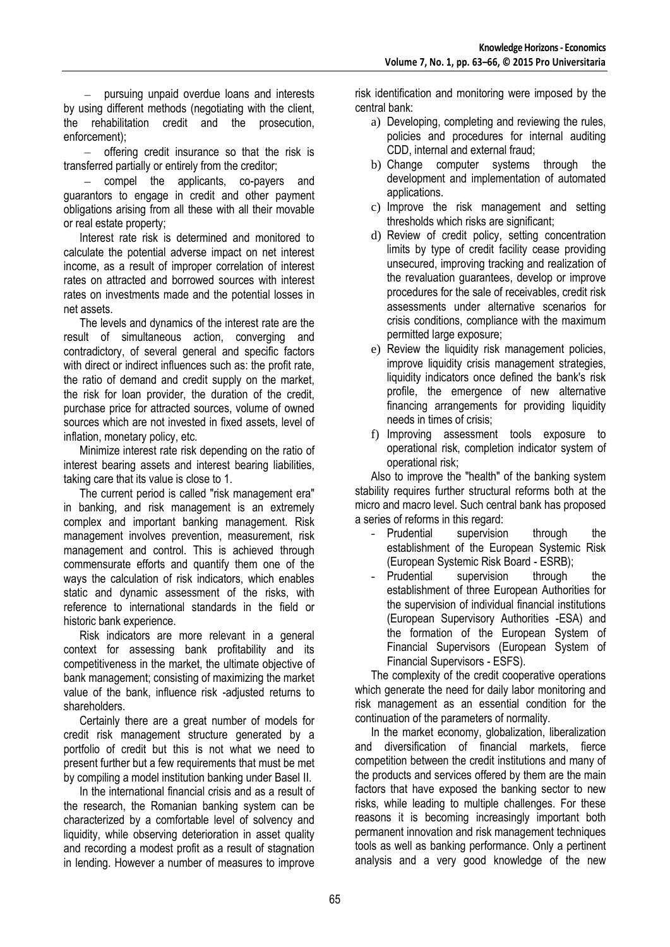pursuing unpaid overdue loans and interests by using different methods (negotiating with the client, the rehabilitation credit and the prosecution, enforcement);

 $-$  offering credit insurance so that the risk is transferred partially or entirely from the creditor;

- compel the applicants, co-payers and guarantors to engage in credit and other payment obligations arising from all these with all their movable or real estate property;

Interest rate risk is determined and monitored to calculate the potential adverse impact on net interest income, as a result of improper correlation of interest rates on attracted and borrowed sources with interest rates on investments made and the potential losses in net assets.

The levels and dynamics of the interest rate are the result of simultaneous action, converging and contradictory, of several general and specific factors with direct or indirect influences such as: the profit rate, the ratio of demand and credit supply on the market, the risk for loan provider, the duration of the credit, purchase price for attracted sources, volume of owned sources which are not invested in fixed assets, level of inflation, monetary policy, etc.

Minimize interest rate risk depending on the ratio of interest bearing assets and interest bearing liabilities, taking care that its value is close to 1.

The current period is called "risk management era" in banking, and risk management is an extremely complex and important banking management. Risk management involves prevention, measurement, risk management and control. This is achieved through commensurate efforts and quantify them one of the ways the calculation of risk indicators, which enables static and dynamic assessment of the risks, with reference to international standards in the field or historic bank experience.

Risk indicators are more relevant in a general context for assessing bank profitability and its competitiveness in the market, the ultimate objective of bank management; consisting of maximizing the market value of the bank, influence risk -adjusted returns to shareholders.

Certainly there are a great number of models for credit risk management structure generated by a portfolio of credit but this is not what we need to present further but a few requirements that must be met by compiling a model institution banking under Basel II.

In the international financial crisis and as a result of the research, the Romanian banking system can be characterized by a comfortable level of solvency and liquidity, while observing deterioration in asset quality and recording a modest profit as a result of stagnation in lending. However a number of measures to improve

risk identification and monitoring were imposed by the central bank:

- a) Developing, completing and reviewing the rules, policies and procedures for internal auditing CDD, internal and external fraud;
- b) Change computer systems through the development and implementation of automated applications.
- c) Improve the risk management and setting thresholds which risks are significant;
- d) Review of credit policy, setting concentration limits by type of credit facility cease providing unsecured, improving tracking and realization of the revaluation guarantees, develop or improve procedures for the sale of receivables, credit risk assessments under alternative scenarios for crisis conditions, compliance with the maximum permitted large exposure;
- e) Review the liquidity risk management policies, improve liquidity crisis management strategies, liquidity indicators once defined the bank's risk profile, the emergence of new alternative financing arrangements for providing liquidity needs in times of crisis;
- f) Improving assessment tools exposure to operational risk, completion indicator system of operational risk;

Also to improve the "health" of the banking system stability requires further structural reforms both at the micro and macro level. Such central bank has proposed a series of reforms in this regard:

- Prudential supervision through the establishment of the European Systemic Risk (European Systemic Risk Board - ESRB);
- Prudential supervision through the establishment of three European Authorities for the supervision of individual financial institutions (European Supervisory Authorities -ESA) and the formation of the European System of Financial Supervisors (European System of Financial Supervisors - ESFS).

The complexity of the credit cooperative operations which generate the need for daily labor monitoring and risk management as an essential condition for the continuation of the parameters of normality.

In the market economy, globalization, liberalization and diversification of financial markets, fierce competition between the credit institutions and many of the products and services offered by them are the main factors that have exposed the banking sector to new risks, while leading to multiple challenges. For these reasons it is becoming increasingly important both permanent innovation and risk management techniques tools as well as banking performance. Only a pertinent analysis and a very good knowledge of the new